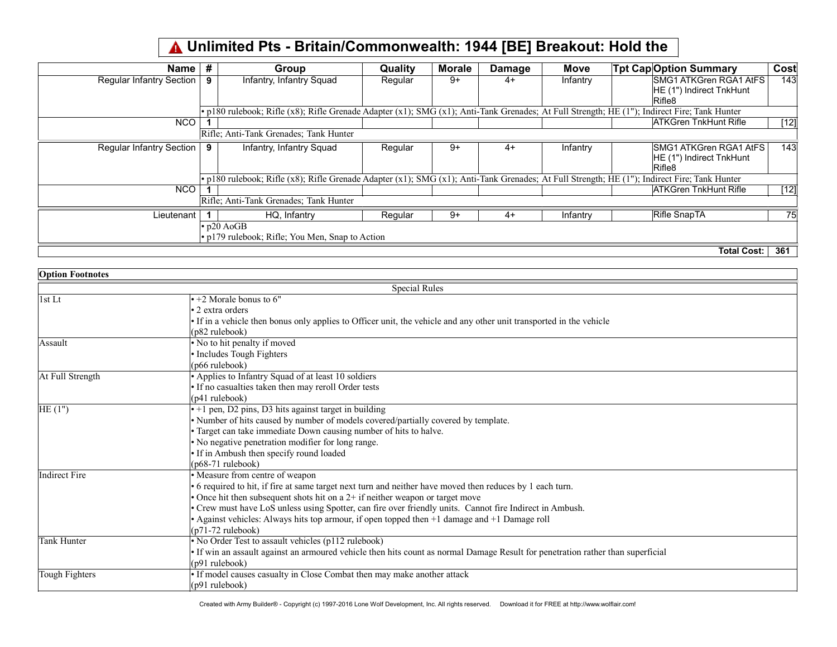## Unlimited Pts - Britain/Commonwealth: 1944 [BE] Breakout: Hold the

| Name                     | # | Group                                                                                                                                        | <b>Quality</b> | <b>Morale</b> | <b>Damage</b> | <b>Move</b> | <b>Tpt Cap Option Summary</b>                                       | Cost   |
|--------------------------|---|----------------------------------------------------------------------------------------------------------------------------------------------|----------------|---------------|---------------|-------------|---------------------------------------------------------------------|--------|
| Regular Infantry Section | 9 | Infantry, Infantry Squad                                                                                                                     | Regular        | $9+$          | $4+$          | Infantry    | <b>SMG1 ATKGren RGA1 AtFS</b>                                       | 143    |
|                          |   |                                                                                                                                              |                |               |               |             | HE (1") Indirect TnkHunt<br>Rifle8                                  |        |
|                          |   | • p180 rulebook; Rifle (x8); Rifle Grenade Adapter (x1); SMG (x1); Anti-Tank Grenades; At Full Strength; HE (1"); Indirect Fire; Tank Hunter |                |               |               |             |                                                                     |        |
| <b>NCO</b>               |   |                                                                                                                                              |                |               |               |             | <b>ATKGren TnkHunt Rifle</b>                                        | $[12]$ |
|                          |   | Rifle; Anti-Tank Grenades; Tank Hunter                                                                                                       |                |               |               |             |                                                                     |        |
| Regular Infantry Section | 9 | Infantry, Infantry Squad                                                                                                                     | Regular        | $9+$          | $4+$          | Infantry    | <b>SMG1 ATKGren RGA1 AtFS</b><br>HE (1") Indirect TnkHunt<br>Rifle8 | 143    |
|                          |   | • p180 rulebook; Rifle (x8); Rifle Grenade Adapter (x1); SMG (x1); Anti-Tank Grenades; At Full Strength; HE (1"); Indirect Fire; Tank Hunter |                |               |               |             |                                                                     |        |
| <b>NCO</b>               |   |                                                                                                                                              |                |               |               |             | <b>ATKGren TnkHunt Rifle</b>                                        | $[12]$ |
|                          |   | Rifle; Anti-Tank Grenades; Tank Hunter                                                                                                       |                |               |               |             |                                                                     |        |
| Lieutenant               |   | HQ, Infantry                                                                                                                                 | Regular        | $9+$          | $4+$          | Infantry    | Rifle SnapTA                                                        | 75     |
|                          |   | $\cdot$ p20 AoGB                                                                                                                             |                |               |               |             |                                                                     |        |
|                          |   | $\cdot$ p179 rulebook; Rifle; You Men, Snap to Action                                                                                        |                |               |               |             |                                                                     |        |
|                          |   |                                                                                                                                              |                |               |               |             | <b>Total Cost:</b>                                                  | 361    |

| <b>Option Footnotes</b> |                                                                                                                                 |
|-------------------------|---------------------------------------------------------------------------------------------------------------------------------|
|                         | <b>Special Rules</b>                                                                                                            |
| 1st Lt                  | $\cdot$ +2 Morale bonus to 6"                                                                                                   |
|                         | • 2 extra orders                                                                                                                |
|                         | • If in a vehicle then bonus only applies to Officer unit, the vehicle and any other unit transported in the vehicle            |
|                         | (p82 rulebook)                                                                                                                  |
| Assault                 | • No to hit penalty if moved                                                                                                    |
|                         | • Includes Tough Fighters                                                                                                       |
|                         | $(1066 \text{ rulebook})$                                                                                                       |
| At Full Strength        | • Applies to Infantry Squad of at least 10 soldiers                                                                             |
|                         | • If no casualties taken then may reroll Order tests                                                                            |
|                         | $(p41$ rulebook)                                                                                                                |
| HE(1")                  | $\cdot$ +1 pen, D2 pins, D3 hits against target in building                                                                     |
|                         | · Number of hits caused by number of models covered/partially covered by template.                                              |
|                         | • Target can take immediate Down causing number of hits to halve.                                                               |
|                         | • No negative penetration modifier for long range.                                                                              |
|                         | • If in Ambush then specify round loaded                                                                                        |
|                         | $(p68-71$ rulebook)                                                                                                             |
| Indirect Fire           | • Measure from centre of weapon                                                                                                 |
|                         | • 6 required to hit, if fire at same target next turn and neither have moved then reduces by 1 each turn.                       |
|                         | • Once hit then subsequent shots hit on a $2+$ if neither weapon or target move                                                 |
|                         | • Crew must have LoS unless using Spotter, can fire over friendly units. Cannot fire Indirect in Ambush.                        |
|                         | • Against vehicles: Always hits top armour, if open topped then +1 damage and +1 Damage roll                                    |
|                         | $(p71-72 \text{ rulebook})$                                                                                                     |
| Tank Hunter             | • No Order Test to assault vehicles (p112 rulebook)                                                                             |
|                         | • If win an assault against an armoured vehicle then hits count as normal Damage Result for penetration rather than superficial |
|                         | $(p91$ rulebook)                                                                                                                |
| Tough Fighters          | • If model causes casualty in Close Combat then may make another attack                                                         |
|                         | $(p91$ rulebook)                                                                                                                |